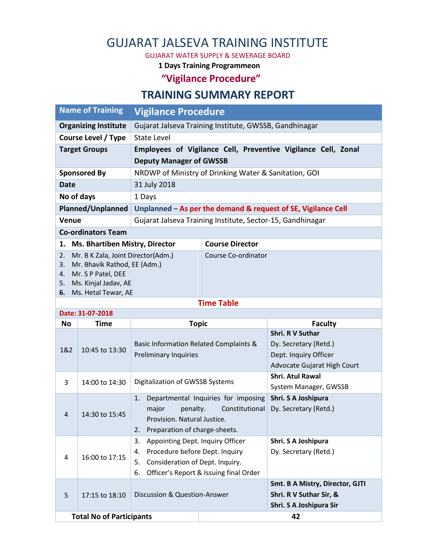# GUJARAT JALSEVA TRAINING INSTITUTE

GUJARAT WATER SUPPLY & SEWERAGE BOARD

**1 Days Training Programmeon**

**"Vigilance Procedure"**

### **TRAINING SUMMARY REPORT**

| <b>Name of Training</b>                     | <b>Vigilance Procedure</b>                                    |                                                       |  |  |  |  |
|---------------------------------------------|---------------------------------------------------------------|-------------------------------------------------------|--|--|--|--|
| <b>Organizing Institute</b>                 | Gujarat Jalseva Training Institute, GWSSB, Gandhinagar        |                                                       |  |  |  |  |
| Course Level / Type                         | State Level                                                   |                                                       |  |  |  |  |
| <b>Target Groups</b>                        | Employees of Vigilance Cell, Preventive Vigilance Cell, Zonal |                                                       |  |  |  |  |
|                                             | <b>Deputy Manager of GWSSB</b>                                |                                                       |  |  |  |  |
| <b>Sponsored By</b>                         |                                                               | NRDWP of Ministry of Drinking Water & Sanitation, GOI |  |  |  |  |
| 31 July 2018<br>Date                        |                                                               |                                                       |  |  |  |  |
| No of days                                  | 1 Days                                                        |                                                       |  |  |  |  |
| Planned/Unplanned                           | Unplanned – As per the demand & request of SE, Vigilance Cell |                                                       |  |  |  |  |
| <b>Venue</b>                                | Gujarat Jalseva Training Institute, Sector-15, Gandhinagar    |                                                       |  |  |  |  |
| <b>Co-ordinators Team</b>                   |                                                               |                                                       |  |  |  |  |
| <b>Ms. Bhartiben Mistry, Director</b><br>1. |                                                               | <b>Course Director</b>                                |  |  |  |  |
| Mr. B K Zala, Joint Director(Adm.)<br>2.    |                                                               | Course Co-ordinator                                   |  |  |  |  |
| Mr. Bhavik Rathod, EE (Adm.)<br>3.          |                                                               |                                                       |  |  |  |  |
| Mr. S P Patel, DEE<br>4.                    |                                                               |                                                       |  |  |  |  |
| Ms. Kinjal Jadav, AE<br>5.                  |                                                               |                                                       |  |  |  |  |
| Ms. Hetal Tewar, AE<br>6.                   |                                                               |                                                       |  |  |  |  |
| -                                           |                                                               |                                                       |  |  |  |  |

#### **Time Table**

| Date: 31-07-2018                |                |                                                                                                                                                                         |                                                                                                          |  |  |  |  |  |
|---------------------------------|----------------|-------------------------------------------------------------------------------------------------------------------------------------------------------------------------|----------------------------------------------------------------------------------------------------------|--|--|--|--|--|
| <b>No</b>                       | Time           | <b>Topic</b>                                                                                                                                                            | <b>Faculty</b>                                                                                           |  |  |  |  |  |
| 1&2                             | 10:45 to 13:30 | Basic Information Related Complaints &<br><b>Preliminary Inquiries</b>                                                                                                  | <b>Shri. R V Suthar</b><br>Dy. Secretary (Retd.)<br>Dept. Inquiry Officer<br>Advocate Gujarat High Court |  |  |  |  |  |
| 3                               | 14:00 to 14:30 | Digitalization of GWSSB Systems                                                                                                                                         | <b>Shri. Atul Rawal</b><br>System Manager, GWSSB                                                         |  |  |  |  |  |
| 4                               | 14:30 to 15:45 | 1.<br>Departmental Inquiries for imposing<br>penalty.<br>Constitutional<br>major<br>Provision. Natural Justice.<br>Preparation of charge-sheets.<br>2.                  | Shri. S A Joshipura<br>Dy. Secretary (Retd.)                                                             |  |  |  |  |  |
| 4                               | 16:00 to 17:15 | 3.<br>Appointing Dept. Inquiry Officer<br>Procedure before Dept. Inquiry<br>4.<br>Consideration of Dept. Inquiry.<br>5.<br>Officer's Report & Issuing final Order<br>6. | Shri. S A Joshipura<br>Dy. Secretary (Retd.)                                                             |  |  |  |  |  |
| 5                               | 17:15 to 18:10 | Discussion & Question-Answer                                                                                                                                            | Smt. B A Mistry, Director, GJTI<br>Shri. R V Suthar Sir, &<br>Shri. S A Joshipura Sir                    |  |  |  |  |  |
| <b>Total No of Participants</b> |                |                                                                                                                                                                         | 42                                                                                                       |  |  |  |  |  |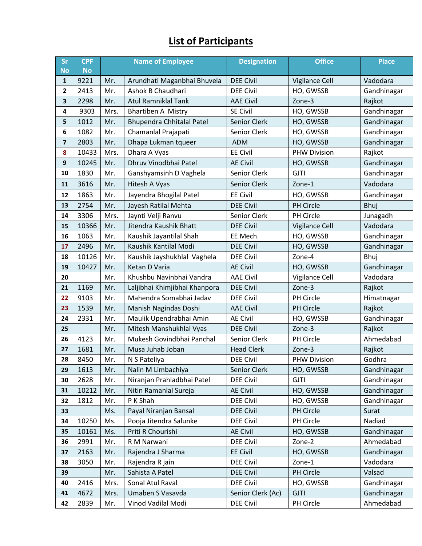## **List of Participants**

| Sr           | <b>CPF</b> | <b>Name of Employee</b> |                                  | <b>Designation</b> | <b>Office</b>       | <b>Place</b> |
|--------------|------------|-------------------------|----------------------------------|--------------------|---------------------|--------------|
| <b>No</b>    | <b>No</b>  |                         |                                  |                    |                     |              |
| 1            | 9221       | Mr.                     | Arundhati Maganbhai Bhuvela      | <b>DEE Civil</b>   | Vigilance Cell      | Vadodara     |
| $\mathbf{2}$ | 2413       | Mr.                     | Ashok B Chaudhari                | <b>DEE Civil</b>   | HO, GWSSB           | Gandhinagar  |
| 3            | 2298       | Mr.                     | <b>Atul Ramniklal Tank</b>       | <b>AAE Civil</b>   | Zone-3              | Rajkot       |
| 4            | 9303       | Mrs.                    | Bhartiben A Mistry               | <b>SE Civil</b>    | HO, GWSSB           | Gandhinagar  |
| 5            | 1012       | Mr.                     | <b>Bhupendra Chhitalal Patel</b> | Senior Clerk       | HO, GWSSB           | Gandhinagar  |
| 6            | 1082       | Mr.                     | Chamanlal Prajapati              | Senior Clerk       | HO, GWSSB           | Gandhinagar  |
| 7            | 2803       | Mr.                     | Dhapa Lukman tqueer              | <b>ADM</b>         | HO, GWSSB           | Gandhinagar  |
| 8            | 10433      | Mrs.                    | Dhara A Vyas                     | <b>EE Civil</b>    | <b>PHW Division</b> | Rajkot       |
| 9            | 10245      | Mr.                     | Dhruv Vinodbhai Patel            | <b>AE Civil</b>    | HO, GWSSB           | Gandhinagar  |
| 10           | 1830       | Mr.                     | Ganshyamsinh D Vaghela           | Senior Clerk       | <b>GJTI</b>         | Gandhinagar  |
| 11           | 3616       | Mr.                     | Hitesh A Vyas                    | Senior Clerk       | Zone-1              | Vadodara     |
| 12           | 1863       | Mr.                     | Jayendra Bhogilal Patel          | <b>EE Civil</b>    | HO, GWSSB           | Gandhinagar  |
| 13           | 2754       | Mr.                     | Jayesh Ratilal Mehta             | <b>DEE Civil</b>   | <b>PH Circle</b>    | Bhuj         |
| 14           | 3306       | Mrs.                    | Jaynti Velji Ranvu               | Senior Clerk       | PH Circle           | Junagadh     |
| 15           | 10366      | Mr.                     | Jitendra Kaushik Bhatt           | <b>DEE Civil</b>   | Vigilance Cell      | Vadodara     |
| 16           | 1063       | Mr.                     | Kaushik Jayantilal Shah          | EE Mech.           | HO, GWSSB           | Gandhinagar  |
| 17           | 2496       | Mr.                     | Kaushik Kantilal Modi            | <b>DEE Civil</b>   | HO, GWSSB           | Gandhinagar  |
| 18           | 10126      | Mr.                     | Kaushik Jayshukhlal Vaghela      | <b>DEE Civil</b>   | Zone-4              | Bhuj         |
| 19           | 10427      | Mr.                     | Ketan D Varia                    | <b>AE Civil</b>    | HO, GWSSB           | Gandhinagar  |
| 20           |            | Mr.                     | Khushbu Navinbhai Vandra         | <b>AAE Civil</b>   | Vigilance Cell      | Vadodara     |
| 21           | 1169       | Mr.                     | Laljibhai Khimjibhai Khanpora    | <b>DEE Civil</b>   | Zone-3              | Rajkot       |
| 22           | 9103       | Mr.                     | Mahendra Somabhai Jadav          | <b>DEE Civil</b>   | PH Circle           | Himatnagar   |
| 23           | 1539       | Mr.                     | Manish Nagindas Doshi            | <b>AAE Civil</b>   | PH Circle           | Rajkot       |
| 24           | 2331       | Mr.                     | Maulik Upendrabhai Amin          | <b>AE Civil</b>    | HO, GWSSB           | Gandhinagar  |
| 25           |            | Mr.                     | Mitesh Manshukhlal Vyas          | <b>DEE Civil</b>   | Zone-3              | Rajkot       |
| 26           | 4123       | Mr.                     | Mukesh Govindbhai Panchal        | Senior Clerk       | PH Circle           | Ahmedabad    |
| 27           | 1681       | Mr.                     | Musa Juhab Joban                 | <b>Head Clerk</b>  | Zone-3              | Rajkot       |
| 28           | 8450       | Mr.                     | N S Pateliya                     | <b>DEE Civil</b>   | <b>PHW Division</b> | Godhra       |
| 29           | 1613       | Mr.                     | Nalin M Limbachiya               | Senior Clerk       | HO, GWSSB           | Gandhinagar  |
| 30           | 2628       | Mr.                     | Niranjan Prahladbhai Patel       | <b>DEE Civil</b>   | <b>GJTI</b>         | Gandhinagar  |
| 31           | 10212      | Mr.                     | Nitin Ramanlal Sureja            | <b>AE Civil</b>    | HO, GWSSB           | Gandhinagar  |
| 32           | 1812       | Mr.                     | P K Shah                         | <b>DEE Civil</b>   | HO, GWSSB           | Gandhinagar  |
| 33           |            | Ms.                     | Payal Niranjan Bansal            | <b>DEE Civil</b>   | PH Circle           | Surat        |
| 34           | 10250      | Ms.                     | Pooja Jitendra Salunke           | <b>DEE Civil</b>   | PH Circle           | Nadiad       |
| 35           | 10161      | Ms.                     | Priti R Chourishi                | <b>AE Civil</b>    | HO, GWSSB           | Gandhinagar  |
| 36           | 2991       | Mr.                     | R M Narwani                      | <b>DEE Civil</b>   | Zone-2              | Ahmedabad    |
| 37           | 2163       | Mr.                     | Rajendra J Sharma                | <b>EE Civil</b>    | HO, GWSSB           | Gandhinagar  |
| 38           | 3050       | Mr.                     | Rajendra R jain                  | <b>DEE Civil</b>   | Zone-1              | Vadodara     |
| 39           |            | Mr.                     | Sahista A Patel                  | <b>DEE Civil</b>   | PH Circle           | Valsad       |
| 40           | 2416       | Mrs.                    | Sonal Atul Raval                 | <b>DEE Civil</b>   | HO, GWSSB           | Gandhinagar  |
| 41           | 4672       | Mrs.                    | Umaben S Vasavda                 | Senior Clerk (Ac)  | <b>GJTI</b>         | Gandhinagar  |
| 42           | 2839       | Mr.                     | Vinod Vadilal Modi               | <b>DEE Civil</b>   | PH Circle           | Ahmedabad    |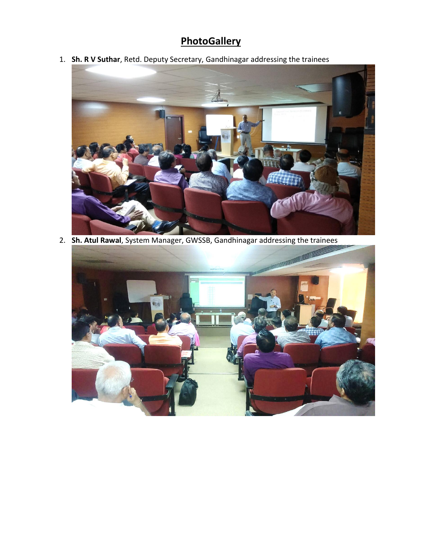## **PhotoGallery**

1. **Sh. R V Suthar**, Retd. Deputy Secretary, Gandhinagar addressing the trainees



2. **Sh. Atul Rawal**, System Manager, GWSSB, Gandhinagar addressing the trainees